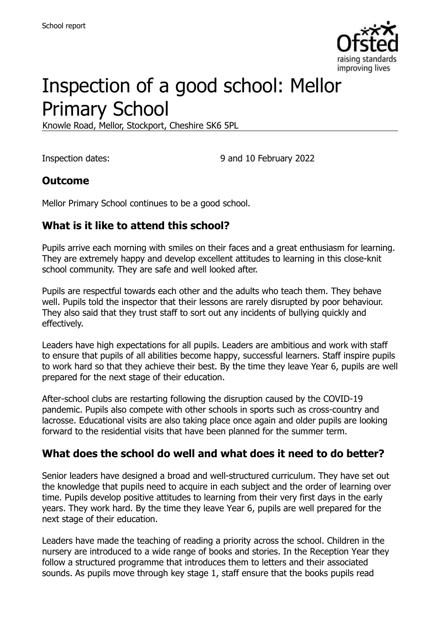

# Inspection of a good school: Mellor Primary School

Knowle Road, Mellor, Stockport, Cheshire SK6 5PL

Inspection dates: 9 and 10 February 2022

#### **Outcome**

Mellor Primary School continues to be a good school.

#### **What is it like to attend this school?**

Pupils arrive each morning with smiles on their faces and a great enthusiasm for learning. They are extremely happy and develop excellent attitudes to learning in this close-knit school community. They are safe and well looked after.

Pupils are respectful towards each other and the adults who teach them. They behave well. Pupils told the inspector that their lessons are rarely disrupted by poor behaviour. They also said that they trust staff to sort out any incidents of bullying quickly and effectively.

Leaders have high expectations for all pupils. Leaders are ambitious and work with staff to ensure that pupils of all abilities become happy, successful learners. Staff inspire pupils to work hard so that they achieve their best. By the time they leave Year 6, pupils are well prepared for the next stage of their education.

After-school clubs are restarting following the disruption caused by the COVID-19 pandemic. Pupils also compete with other schools in sports such as cross-country and lacrosse. Educational visits are also taking place once again and older pupils are looking forward to the residential visits that have been planned for the summer term.

#### **What does the school do well and what does it need to do better?**

Senior leaders have designed a broad and well-structured curriculum. They have set out the knowledge that pupils need to acquire in each subject and the order of learning over time. Pupils develop positive attitudes to learning from their very first days in the early years. They work hard. By the time they leave Year 6, pupils are well prepared for the next stage of their education.

Leaders have made the teaching of reading a priority across the school. Children in the nursery are introduced to a wide range of books and stories. In the Reception Year they follow a structured programme that introduces them to letters and their associated sounds. As pupils move through key stage 1, staff ensure that the books pupils read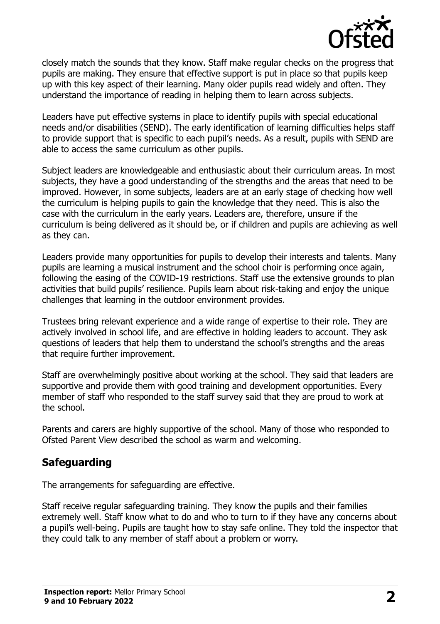

closely match the sounds that they know. Staff make regular checks on the progress that pupils are making. They ensure that effective support is put in place so that pupils keep up with this key aspect of their learning. Many older pupils read widely and often. They understand the importance of reading in helping them to learn across subjects.

Leaders have put effective systems in place to identify pupils with special educational needs and/or disabilities (SEND). The early identification of learning difficulties helps staff to provide support that is specific to each pupil's needs. As a result, pupils with SEND are able to access the same curriculum as other pupils.

Subject leaders are knowledgeable and enthusiastic about their curriculum areas. In most subjects, they have a good understanding of the strengths and the areas that need to be improved. However, in some subjects, leaders are at an early stage of checking how well the curriculum is helping pupils to gain the knowledge that they need. This is also the case with the curriculum in the early years. Leaders are, therefore, unsure if the curriculum is being delivered as it should be, or if children and pupils are achieving as well as they can.

Leaders provide many opportunities for pupils to develop their interests and talents. Many pupils are learning a musical instrument and the school choir is performing once again, following the easing of the COVID-19 restrictions. Staff use the extensive grounds to plan activities that build pupils' resilience. Pupils learn about risk-taking and enjoy the unique challenges that learning in the outdoor environment provides.

Trustees bring relevant experience and a wide range of expertise to their role. They are actively involved in school life, and are effective in holding leaders to account. They ask questions of leaders that help them to understand the school's strengths and the areas that require further improvement.

Staff are overwhelmingly positive about working at the school. They said that leaders are supportive and provide them with good training and development opportunities. Every member of staff who responded to the staff survey said that they are proud to work at the school.

Parents and carers are highly supportive of the school. Many of those who responded to Ofsted Parent View described the school as warm and welcoming.

# **Safeguarding**

The arrangements for safeguarding are effective.

Staff receive regular safeguarding training. They know the pupils and their families extremely well. Staff know what to do and who to turn to if they have any concerns about a pupil's well-being. Pupils are taught how to stay safe online. They told the inspector that they could talk to any member of staff about a problem or worry.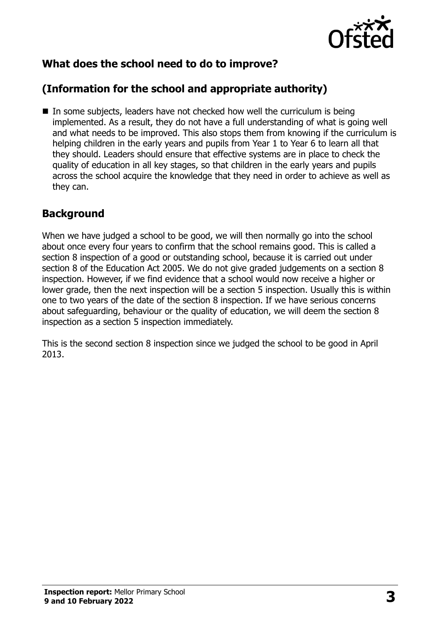

# **What does the school need to do to improve?**

# **(Information for the school and appropriate authority)**

In some subjects, leaders have not checked how well the curriculum is being implemented. As a result, they do not have a full understanding of what is going well and what needs to be improved. This also stops them from knowing if the curriculum is helping children in the early years and pupils from Year 1 to Year 6 to learn all that they should. Leaders should ensure that effective systems are in place to check the quality of education in all key stages, so that children in the early years and pupils across the school acquire the knowledge that they need in order to achieve as well as they can.

### **Background**

When we have judged a school to be good, we will then normally go into the school about once every four years to confirm that the school remains good. This is called a section 8 inspection of a good or outstanding school, because it is carried out under section 8 of the Education Act 2005. We do not give graded judgements on a section 8 inspection. However, if we find evidence that a school would now receive a higher or lower grade, then the next inspection will be a section 5 inspection. Usually this is within one to two years of the date of the section 8 inspection. If we have serious concerns about safeguarding, behaviour or the quality of education, we will deem the section 8 inspection as a section 5 inspection immediately.

This is the second section 8 inspection since we judged the school to be good in April 2013.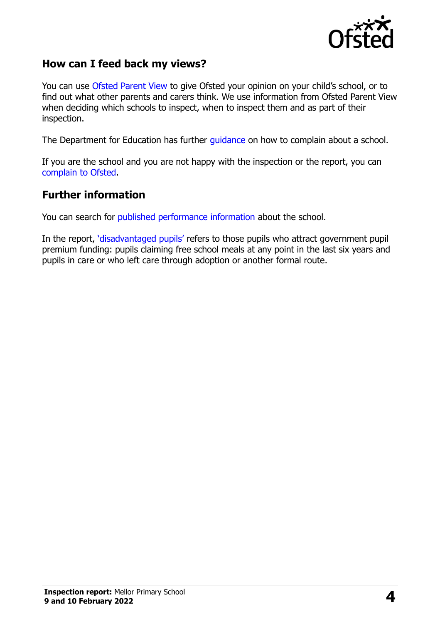

#### **How can I feed back my views?**

You can use [Ofsted Parent View](https://parentview.ofsted.gov.uk/) to give Ofsted your opinion on your child's school, or to find out what other parents and carers think. We use information from Ofsted Parent View when deciding which schools to inspect, when to inspect them and as part of their inspection.

The Department for Education has further [guidance](http://www.gov.uk/complain-about-school) on how to complain about a school.

If you are the school and you are not happy with the inspection or the report, you can [complain to Ofsted.](https://www.gov.uk/complain-ofsted-report)

#### **Further information**

You can search for [published performance information](http://www.compare-school-performance.service.gov.uk/) about the school.

In the report, '[disadvantaged pupils](http://www.gov.uk/guidance/pupil-premium-information-for-schools-and-alternative-provision-settings)' refers to those pupils who attract government pupil premium funding: pupils claiming free school meals at any point in the last six years and pupils in care or who left care through adoption or another formal route.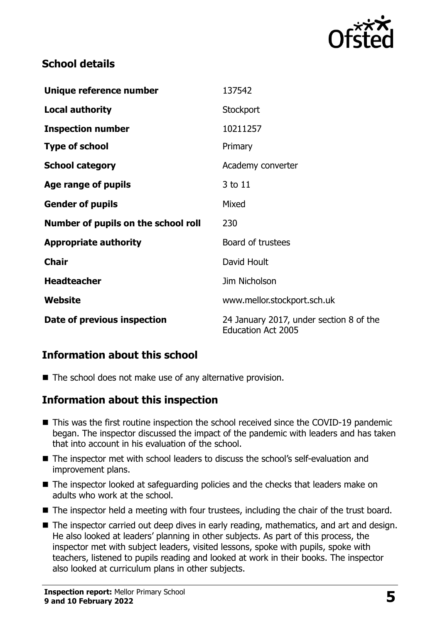

### **School details**

| Unique reference number             | 137542                                                               |
|-------------------------------------|----------------------------------------------------------------------|
| <b>Local authority</b>              | Stockport                                                            |
| <b>Inspection number</b>            | 10211257                                                             |
| <b>Type of school</b>               | Primary                                                              |
| <b>School category</b>              | Academy converter                                                    |
| Age range of pupils                 | 3 to 11                                                              |
| <b>Gender of pupils</b>             | Mixed                                                                |
| Number of pupils on the school roll | 230                                                                  |
| <b>Appropriate authority</b>        | Board of trustees                                                    |
| <b>Chair</b>                        | David Hoult                                                          |
| <b>Headteacher</b>                  | Jim Nicholson                                                        |
| Website                             | www.mellor.stockport.sch.uk                                          |
| Date of previous inspection         | 24 January 2017, under section 8 of the<br><b>Education Act 2005</b> |

# **Information about this school**

■ The school does not make use of any alternative provision.

#### **Information about this inspection**

- This was the first routine inspection the school received since the COVID-19 pandemic began. The inspector discussed the impact of the pandemic with leaders and has taken that into account in his evaluation of the school.
- The inspector met with school leaders to discuss the school's self-evaluation and improvement plans.
- The inspector looked at safeguarding policies and the checks that leaders make on adults who work at the school.
- The inspector held a meeting with four trustees, including the chair of the trust board.
- The inspector carried out deep dives in early reading, mathematics, and art and design. He also looked at leaders' planning in other subjects. As part of this process, the inspector met with subject leaders, visited lessons, spoke with pupils, spoke with teachers, listened to pupils reading and looked at work in their books. The inspector also looked at curriculum plans in other subjects.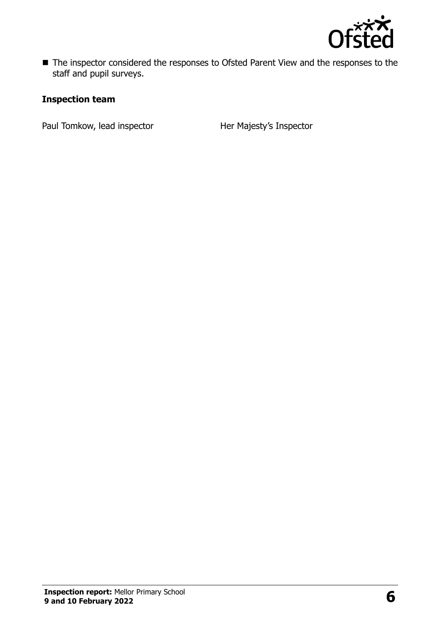

■ The inspector considered the responses to Ofsted Parent View and the responses to the staff and pupil surveys.

#### **Inspection team**

Paul Tomkow, lead inspector **Her Majesty's Inspector**